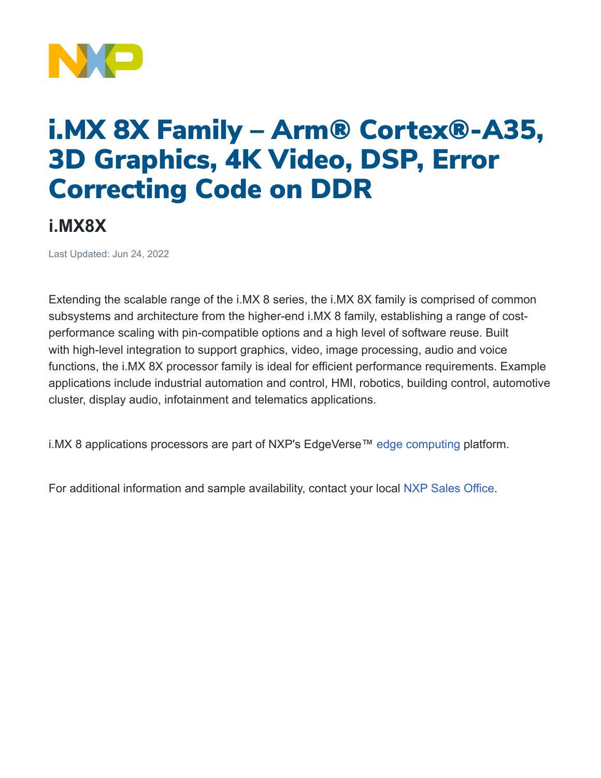

## i.MX 8X Family – Arm® Cortex®-A35, 3D Graphics, 4K Video, DSP, Error Correcting Code on DDR

## **i.MX8X**

Last Updated: Jun 24, 2022

Extending the scalable range of the i.MX 8 series, the i.MX 8X family is comprised of common subsystems and architecture from the higher-end i.MX 8 family, establishing a range of costperformance scaling with pin-compatible options and a high level of software reuse. Built with high-level integration to support graphics, video, image processing, audio and voice functions, the i.MX 8X processor family is ideal for efficient performance requirements. Example applications include industrial automation and control, HMI, robotics, building control, automotive cluster, display audio, infotainment and telematics applications.

i.MX 8 applications processors are part of NXP's EdgeVerse™ [edge computing](https://www.nxp.com/applications/enabling-technologies/edge-computing:EDGE-COMPUTING) platform.

For additional information and sample availability, contact your local NXP Sales [Office.](https://www.nxp.com/support/support:SUPPORTHOME)